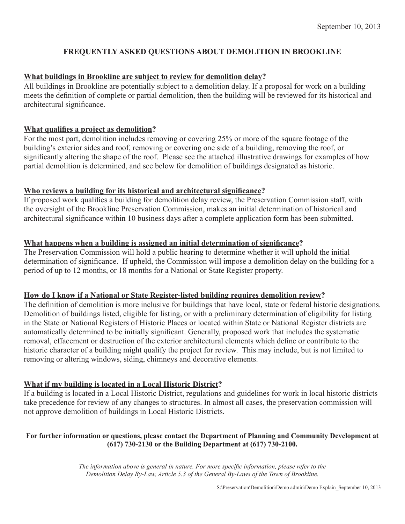## **FREQUENTLY ASKED QUESTIONS ABOUT DEMOLITION IN BROOKLINE**

#### **What buildings in Brookline are subject to review for demolition delay?**

All buildings in Brookline are potentially subject to a demolition delay. If a proposal for work on a building meets the definition of complete or partial demolition, then the building will be reviewed for its historical and architectural significance.

#### **What qualifies a project as demolition?**

For the most part, demolition includes removing or covering 25% or more of the square footage of the building's exterior sides and roof, removing or covering one side of a building, removing the roof, or significantly altering the shape of the roof. Please see the attached illustrative drawings for examples of how partial demolition is determined, and see below for demolition of buildings designated as historic.

#### **Who reviews a building for its historical and architectural significance?**

If proposed work qualifies a building for demolition delay review, the Preservation Commission staff, with the oversight of the Brookline Preservation Commission, makes an initial determination of historical and architectural significance within 10 business days after a complete application form has been submitted.

#### **What happens when a building is assigned an initial determination of significance?**

The Preservation Commission will hold a public hearing to determine whether it will uphold the initial determination of significance. If upheld, the Commission will impose a demolition delay on the building for a period of up to 12 months, or 18 months for a National or State Register property.

# **How do I know if a National or State Register-listed building requires demolition review?**

The definition of demolition is more inclusive for buildings that have local, state or federal historic designations. Demolition of buildings listed, eligible for listing, or with a preliminary determination of eligibility for listing in the State or National Registers of Historic Places or located within State or National Register districts are automatically determined to be initially significant. Generally, proposed work that includes the systematic removal, effacement or destruction of the exterior architectural elements which define or contribute to the historic character of a building might qualify the project for review. This may include, but is not limited to removing or altering windows, siding, chimneys and decorative elements.

# **What if my building is located in a Local Historic District?**

If a building is located in a Local Historic District, regulations and guidelines for work in local historic districts take precedence for review of any changes to structures. In almost all cases, the preservation commission will not approve demolition of buildings in Local Historic Districts.

## **For further information or questions, please contact the Department of Planning and Community Development at (617) 730-2130 or the Building Department at (617) 730-2100.**

*The information above is general in nature. For more specific information, please refer to the Demolition Delay By-Law, Article 5.3 of the General By-Laws of the Town of Brookline.*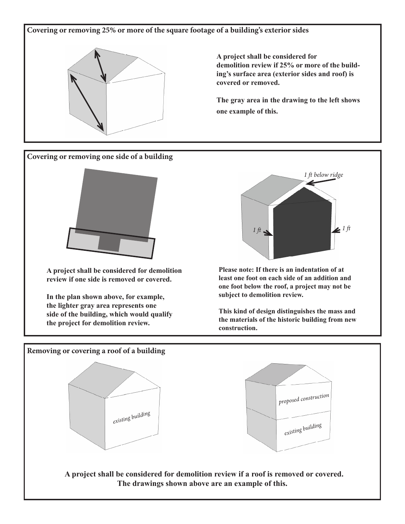**Covering or removing 25% or more of the square footage of a building's exterior sides**



**A project shall be considered for demolition review if 25% or more of the building's surface area (exterior sides and roof) is covered or removed.** 

**The gray area in the drawing to the left shows one example of this.**

**Covering or removing one side of a building**



**A project shall be considered for demolition review if one side is removed or covered.** 

**In the plan shown above, for example, the lighter gray area represents one side of the building, which would qualify the project for demolition review.**



**Please note: If there is an indentation of at least one foot on each side of an addition and one foot below the roof, a project may not be subject to demolition review.** 

**This kind of design distinguishes the mass and the materials of the historic building from new construction.**